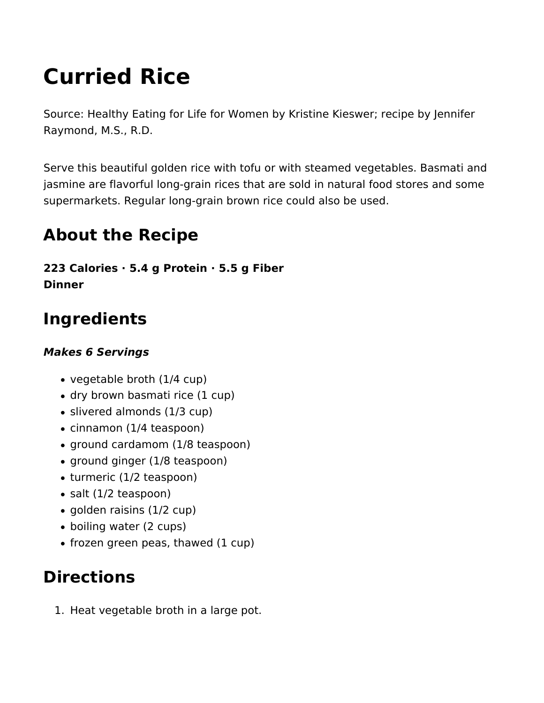# **Curried Rice**

Source: Healthy Eating for Life for Women by Kristine Kieswer; recipe by Jennifer Raymond, M.S., R.D.

Serve this beautiful golden rice with tofu or with steamed vegetables. Basmati and jasmine are flavorful long-grain rices that are sold in natural food stores and some supermarkets. Regular long-grain brown rice could also be used.

### **About the Recipe**

**223 Calories · 5.4 g Protein · 5.5 g Fiber Dinner** 

## **Ingredients**

#### *Makes 6 Servings*

- vegetable broth (1/4 cup)
- dry brown basmati rice (1 cup)
- slivered almonds (1/3 cup)
- cinnamon (1/4 teaspoon)
- ground cardamom (1/8 teaspoon)
- ground ginger (1/8 teaspoon)
- turmeric (1/2 teaspoon)
- salt (1/2 teaspoon)
- golden raisins (1/2 cup)
- boiling water (2 cups)
- $\bullet$  frozen green peas, thawed (1 cup)

### **Directions**

1. Heat vegetable broth in a large pot.